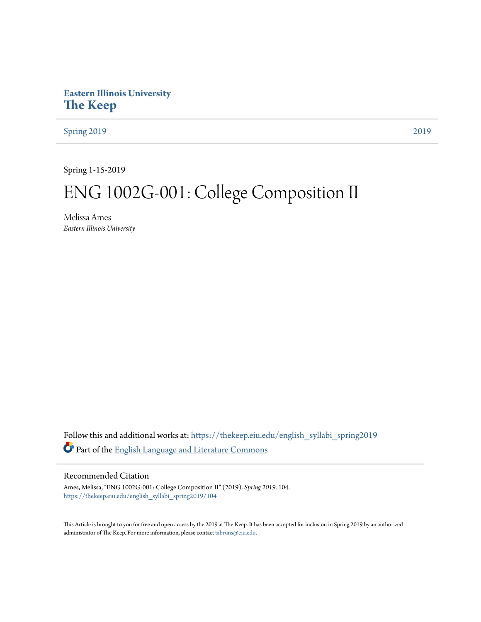# **Eastern Illinois University [The Keep](https://thekeep.eiu.edu?utm_source=thekeep.eiu.edu%2Fenglish_syllabi_spring2019%2F104&utm_medium=PDF&utm_campaign=PDFCoverPages)**

[Spring 2019](https://thekeep.eiu.edu/english_syllabi_spring2019?utm_source=thekeep.eiu.edu%2Fenglish_syllabi_spring2019%2F104&utm_medium=PDF&utm_campaign=PDFCoverPages) [2019](https://thekeep.eiu.edu/english_syllabi2019?utm_source=thekeep.eiu.edu%2Fenglish_syllabi_spring2019%2F104&utm_medium=PDF&utm_campaign=PDFCoverPages)

Spring 1-15-2019

# ENG 1002G-001: College Composition II

Melissa Ames *Eastern Illinois University*

Follow this and additional works at: [https://thekeep.eiu.edu/english\\_syllabi\\_spring2019](https://thekeep.eiu.edu/english_syllabi_spring2019?utm_source=thekeep.eiu.edu%2Fenglish_syllabi_spring2019%2F104&utm_medium=PDF&utm_campaign=PDFCoverPages) Part of the [English Language and Literature Commons](http://network.bepress.com/hgg/discipline/455?utm_source=thekeep.eiu.edu%2Fenglish_syllabi_spring2019%2F104&utm_medium=PDF&utm_campaign=PDFCoverPages)

# Recommended Citation

Ames, Melissa, "ENG 1002G-001: College Composition II" (2019). *Spring 2019*. 104. [https://thekeep.eiu.edu/english\\_syllabi\\_spring2019/104](https://thekeep.eiu.edu/english_syllabi_spring2019/104?utm_source=thekeep.eiu.edu%2Fenglish_syllabi_spring2019%2F104&utm_medium=PDF&utm_campaign=PDFCoverPages)

This Article is brought to you for free and open access by the 2019 at The Keep. It has been accepted for inclusion in Spring 2019 by an authorized administrator of The Keep. For more information, please contact [tabruns@eiu.edu.](mailto:tabruns@eiu.edu)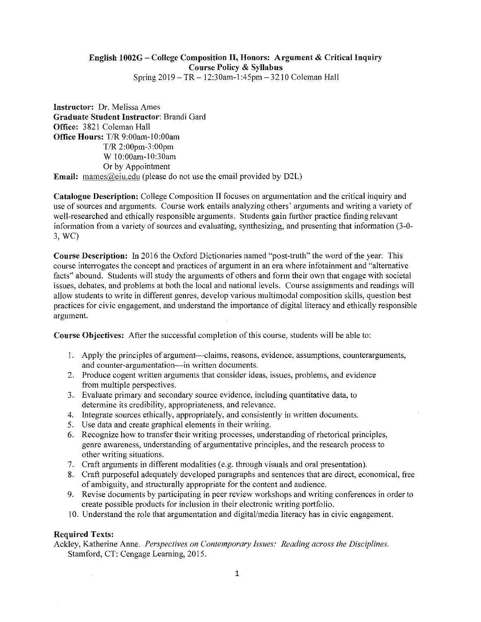# English 1002G - College Composition II, Honors: Argument & Critical Inquiry Course Policy & Syllabus

Spring 2019 - TR- 12:30am-l :45pm - 3210 Coleman Hall

Instructor: Dr. Melissa Ames Graduate Student Instructor: Brandi Gard Office: 3821 Coleman Hall Office Hours: T/R 9:00am-l O:OOam T/R 2:00pm-3:00pm W 10:00am-10:30am Or by Appointment Email: mames@eiu.edu (please do not use the email provided by D2L)

Catalogue Descriptiou: College Composition II focuses on argumentation and the critical inquiry and use of sources and arguments. Course work entails analyzing others' arguments and writing a variety of well-researched and ethically responsible arguments. Students gain further practice finding relevant information from a variety of sources and evaluating, synthesizing, and presenting that information (3-0- 3, WC)

Course Description: In 2016 the Oxford Dictionaries named "post-truth" the word of the year. This course interrogates the concept and practices of argument in an era where infotainment and "alternative facts" abound. Students will study the arguments of others and fonn their own that engage with societal issues, debates, and problems at both the local and national levels. Course assignments and readings will allow students to write in different genres, develop various multimodal composition skills, question best practices for civic engagement, and understand the importance of digital literacy and ethically responsible argument.

Course Objectives: After the successful completion of this course, students will be able to:

- l. Apply the principles of argument--claims, reasons, evidence, assumptions, counterarguments, and counter-argumentation-in written documents.
- 2. Produce cogent written arguments that consider ideas, issues, problems, and evidence from multiple perspectives.
- 3. Evaluate primary and secondary source evidence, including quantitative data, to determine its credibility, appropriateness, and relevance.
- 4. Integrate sources ethically, appropriately, and consistently in written documents.
- 5. Use data and create graphical elements in their writing.
- 6. Recognize how to transfer their writing processes, understanding of rhetorical principles, genre awareness, understanding of argumentative principles, and the research process to other writing situations.
- 7. Craft arguments in different modalities (e.g. through visuals and oral presentation).
- 8. Craft purposeful adequately developed paragraphs and sentences that are direct, economical, free of ambiguity, and structurally appropriate for the content and audience.
- 9. Revise documents by participating in peer review workshops and writing conferences in order to create possible products for inclusion in their electronic writing portfolio.
- 10. Understand the role that argumentation and digital/media literacy has in civic engagement.

# Required Texts:

Ackley, Katherine Anne. *Perspectives on Contemporary Issues: Reading across the Disciplines.*  Stamford, CT: Cengage Learning, 2015.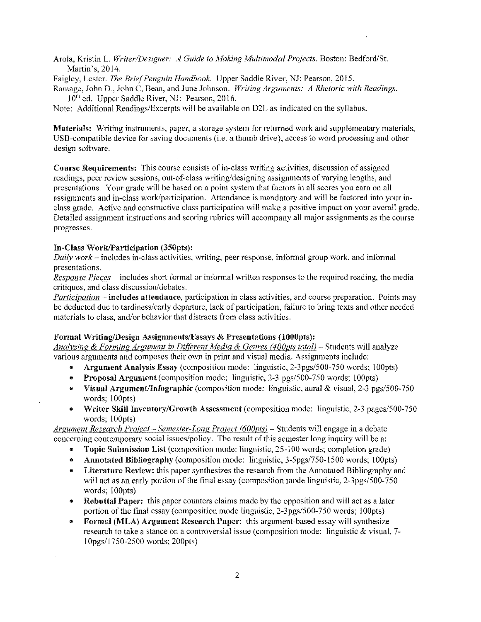Arola, Kristin L. *Writer/Designer: A Guide to Making Multimodal Projects.* Boston: Bedford/St. Martin's, 2014.

Faigley, Lester. *The Brief Penguin Handbook.* Upper Saddle River, NJ: Pearson, 2015.

**Ramage, John D., John C. Bean, and June Johnson.** Writing Arguments: A Rhetoric with Readings. 10<sup>th</sup> ed. Upper Saddle River, NJ: Pearson, 2016.

Note: Additional Readings/Excerpts will be available on D2L as indicated on the syllabus.

Materials: Writing instruments, paper, a storage system for returned work and supplementary materials, USB-compatible device for saving documents (i.e. a thumb drive), access to word processing and other design software.

Course Requirements: This course consists of in-class writing activities, discussion of assigned readings, peer review sessions, out-of-class writing/designing assignments of varying lengths, and presentations. Your grade will be based on a point system that factors in all scores you earn on all assignments and in-class work/participation. Attendance is mandatory and will be factored into your inclass grade. Active and constructive class participation will make a positive impact on your overall grade. Detailed assignment instructions and scoring rubrics will accompany all major assignments as the course progresses.

#### In-Class Work/Participation (350pts):

*Daily work-* includes in-class activities, writing, peer response, informal group work, and informal presentations.

*Response Pieces* – includes short formal or informal written responses to the required reading, the media critiques, and class discussion/debates.

*Participation* – **includes attendance**, participation in class activities, and course preparation. Points may be deducted due to tardiness/early departure, lack of participation, failure to bring texts and other needed materials to class, and/or behavior that distracts from class activities.

#### Formal Writing/Design Assignments/Essays & Presentations (1000pts):

*Analyzing* & *Forming Argument in Different Media* & *Genres (400pts Iota/)-* Students will analyze various arguments and composes their own in print and visual media. Assignments include:

- Argument Analysis Essay (composition mode: linguistic, 2-3pgs/500-750 words; lOOpts)
- Proposal Argument (composition mode: linguistic, 2-3 pgs/500-750 words; I OOpts)
- Visual Argument/Infographic (composition mode: linguistic, aural & visual, 2-3 pgs/500-750 words; 100pts)
- Writer Skill Inventory/Growth Assessment (composition mode: linguistic, 2-3 pages/500-750 words: 100pts)

*Argument Research Proiect* - *Semester-Long Project (600pts)* - Students will engage in a debate concerning contemporary social issues/policy. The result of this semester long inquiry will be a:

- Topic Submission List (composition mode: linguistic, 25-100 words; completion grade)
- Annotated Bibliography (composition mode: linguistic, 3-5pgs/750-1500 words; 100pts)
- Literature Review: this paper synthesizes the research from the Annotated Bibliography and will act as an early portion of the final essay (composition mode linguistic, 2-3pgs/500-750 words; 100pts)
- Rebuttal Paper: this paper counters claims made by the opposition and will act as a later portion of the final essay (composition mode linguistic, 2-3pgs/500-750 words; 100pts)
- Formal (MLA) Argument Research Paper: this argument-based essay will synthesize research to take a stance on a controversial issue (composition mode: linguistic & visual, 7- 1 Opgs/1750-2500 words; 200pts)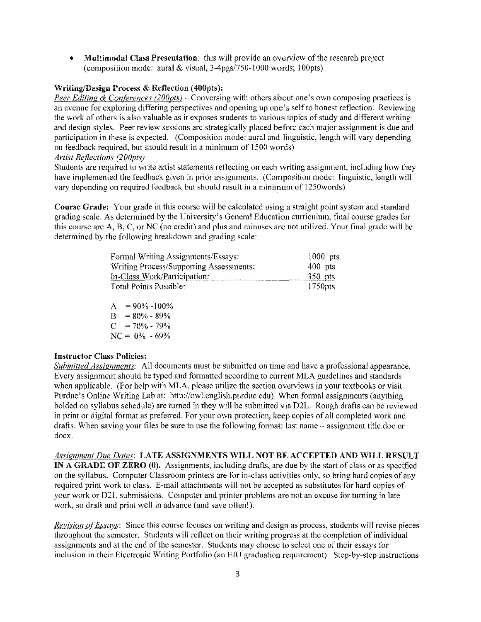• Multimodal Class Presentation: this will provide an overview of the research project (composition mode: aural & visual,  $3-4pgs/750-1000$  words; 100pts)

# **Writing/Design Process & Reflection (400pts):**

*Peer Editing & Conferences (200pts)* – Conversing with others about one's own composing practices is an avenue for exploring differing perspectives and opening up one's self to honest reflection. Reviewing the work of others is also valuable as it exposes students to various topics of study and different writing and design styles. Peer review sessions are strategically placed before each major assignment is due and participation in these is expected. (Composition mode: aural and linguistic, length will vary depending on feedback required, but should result in a minimum of 1500 words)

# *Artist Reflections (200pts)*

Students are required to write artist statements reflecting on each writing assignment, including how they have implemented the feedback given in prior assignments. (Composition mode: linguistic, length will vary depending on required feedback but should result in a minimum of 1250words)

Course Grade: Your grade in this course will be calculated using a straight point system and standard grading scale. As determined by the University's General Education curriculum, final course grades for this course are A, B, C, or NC (no credit) and plus and minuses are not utilized. Your final grade will be determined by the following breakdown and grading scale:

| Formal Writing Assignments/Essays:                                                                | $1000$ pts                           |
|---------------------------------------------------------------------------------------------------|--------------------------------------|
| Writing Process/Supporting Assessments:<br>In-Class Work/Participation:<br>Total Points Possible: | $400$ pts<br>$350$ pts<br>$1750$ pts |

 $A = 90\% -100\%$  $B = 80\% - 89\%$  $C = 70\% - 79\%$  $NC = 0\% -69\%$ 

#### Instructor Class Policies:

*Submitted Assignments:* All documents must be submitted on time and have a professional appearance. Every assignment should be typed and formatted according to current MLA guidelines and standards when applicable. (For help with MLA, please utilize the section overviews in your textbooks or visit Purdue's Online Writing Lab at: http://owl.english.purdue.edu). When formal assignments (anything balded on syllabus schedule) are turned in they will be submitted via D2L. Rough drafts can be reviewed in print or digital format as preferred. For your own protection, keep copies of all completed work and drafts. When saving your files be sure to use the following format: last name - assignment title.doc or docx.

*Assignment Due Dates:* LATE ASSIGNMENTS WILL NOT BE ACCEPTED AND WILL RESULT IN A GRADE OF ZERO (0). Assignments, including drafts, are due by the start of class or as specified on the syllabus. Computer Classroom printers are for in-class activities only, so bring hard copies of any required print work to class. E-mail attachments will not be accepted as substitutes for hard copies of your work or D2L submissions. Computer and printer problems are not an excuse for turning in late work, so draft and print well in advance (and save often!).

*Revision of Essays:* Since this course focuses on writing and design as process, students will revise pieces throughout the semester. Students will reflect on their writing progress at the completion of individual assignments and at the end of the semester. Students may choose to select one of their essays for inclusion in their Electronic Writing Portfolio (an EIU graduation requirement). Step-by-step instructions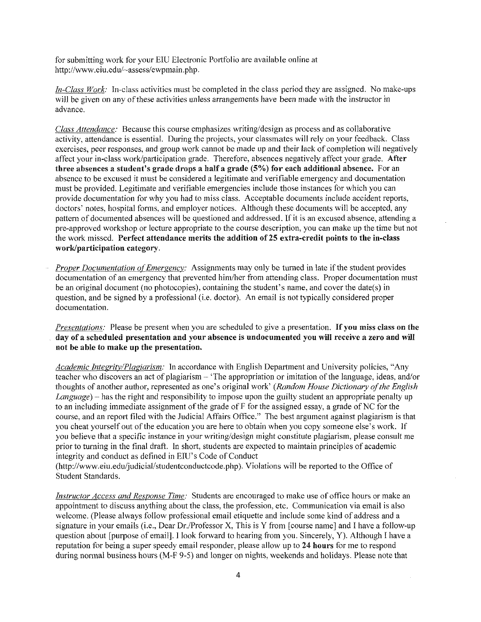for submitting work for your EIU Electronic Portfolio are available online at http://www.eiu.edu/-assess/ewpmain.php.

*Jn-Class Work:* In-class activities must be completed in the class period they are assigned. No make-ups will be given on any of these activities unless arrangements have been made with the instructor in advance.

*Class Attendance:* Because this course emphasizes writing/design as process and as collaborative activity, attendance is essential. During the projects, your classmates will rely on your feedback. Class exercises, peer responses, and group work cannot be made up and their lack of completion will negatively affect your in-class work/participation grade. Therefore, absences negatively affect your grade. After three absences a student's grade drops a half a grade (5%) for each additional absence. For an absence to be excused it must be considered a legitimate and verifiable emergency and documentation must be provided. Legitimate and verifiable emergencies include those instances for which you can provide documentation for why you had to miss class. Acceptable documents include accident reports, doctors' notes, hospital forms, and employer notices. Although these documents will be accepted, any pattern of documented absences will be questioned and addressed. If it is an excused absence, attending a pre-approved workshop or lecture appropriate to the course description, you can make up the time but not the work missed. Perfect attendance merits the addition of 25 extra-credit points to the in-class work/participation category.

*Proper Documentation of Emergency:* Assignments may only be turned in late if the student provides documentation of an emergency that prevented him/her from attending class. Proper documentation must be an original document (no photocopies), containing the student's name, and cover the date(s) in question, and be signed by a professional (i.e. doctor). An email is not typically considered proper documentation.

*Presentations:* Please be present when you are scheduled to give a presentation. If you miss class on the day of a scheduled presentation and your absence is undocumented you will receive a zero and will not be able to make up the presentation.

*Academic Integrity/Plagiarism:* In accordance with English Department and University policies, "Any teacher who discovers an act of plagiarism- 'The appropriation or imitation of the language, ideas, and/or thoughts of another author, represented as one's original work' *(Random House Dictionary of the English Language*) – has the right and responsibility to impose upon the guilty student an appropriate penalty up to an including immediate assignment of the grade of F for the assigned essay, a grade of NC for the course, and an report filed with the Judicial Affairs Office." The best argument against plagiarism is that you cheat yourself out of the education you are here to obtain when you copy someone else's work. If you believe that a specific instance in your writing/design might constitute plagiarism, please consult me prior to turning in the final draft. In short, students are expected to maintain principles of academic integrity and conduct as defined in ElU's Code of Conduct

(http://www.eiu.edu/judicial/studentconductcode.php ). Violations will be reported to the Office of Student Standards.

*Instructor Access and Response Time:* Students are encouraged to make use of office hours or make an appointment to discuss anything about the class, the profession, etc. Communication via email is also welcome. (Please always follow professional email etiquette and include some kind of address and a signature in your emails (i.e., Dear Dr./Professor X, This is Y from [course name] and I have a follow-up question about [purpose of email]. I look forward to hearing from you. Sincerely, Y). Although I have a reputation for being a super speedy email responder, please allow up to 24 hours for me to respond during normal business hours (M-F 9-5) and longer on nights, weekends and holidays. Please note that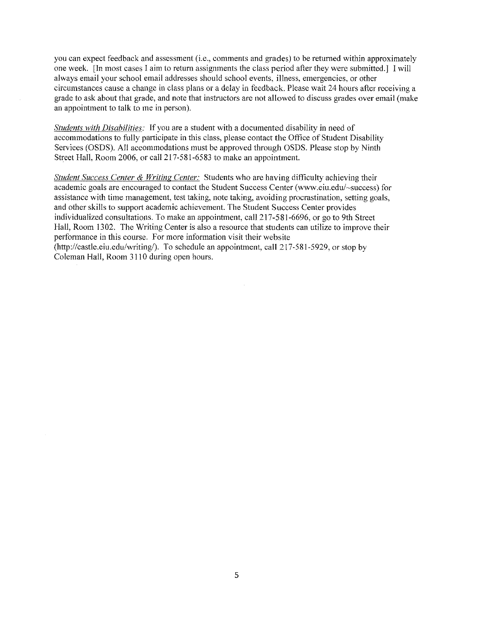you can expect feedback and assessment (i.e., comments and grades) to be retnrned within approximately one week. [In most cases I aim to return assignments the class period after they were submitted.] I will always email your school email addresses should school events, illness, emergencies, or other **circumstances cause a change in class plans or a delay in feedback. Please wait 24 hours after receiving a**  grade to ask about that grade, and note that instructors are not allowed to discuss grades over email (make an appointment to talk to me in person).

*Students with Disabilities:* If you are a student with a documented disability in need of accommodations to fully participate in this class, please contact the Office of Student Disability Services (OSDS). All accommodations must be approved through OSDS. Please stop by Ninth Street Hall, Room 2006, or call 217-581-6583 to make an appointment.

*Student Success Center* & *Writing Center:* Students who are having difficulty achieving their academic goals are encouraged to contact the Student Success Center (www.eiu.edu/-success) for assistance with time management, test taking, note taking, avoiding procrastination, setting goals, and other skills to support academic achievement. The Student Success Center provides individualized consultations. To make an appointment, call 217-581-6696, or go to 9th Street Hall, Room 1302. The Writing Center is also a resource that students can utilize to improve their performance in this course. For more information visit their website (http://castle.eiu.edu/writing/). To schedule an appointment, call 217-581-5929, or stop by Coleman Hall, Room 3110 during open hours.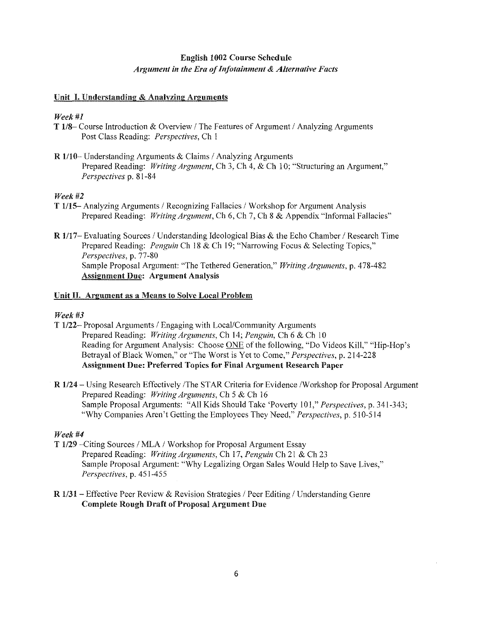# English 1002 Course Schedule *Argument in the Era of Infotainment* & *Alternative Facts*

#### Unit I. Understanding & Analyzing Arguments

# *Week#]*

- T  $1/8$  Course Introduction & Overview / The Features of Argument / Analyzing Arguments Post Class Reading: *Perspectives,* Ch 1
- $R$  1/10– Understanding Arguments & Claims / Analyzing Arguments Prepared Reading: *Writing Argument,* Ch 3, Ch 4, & Ch IO; "Structuring an Argument," *Perspectives* p. 81-84

#### *Week#2*

- T 1/15-Analyzing Arguments / Recognizing Fallacies / Workshop for Argument Analysis Prepared Reading: *Writing Argument,* Ch 6, Ch 7, Ch 8 & Appendix "Informal Fallacies"
- R 1/17- Evaluating Sources / Understanding Ideological Bias & the Echo Chamber / Research Time Prepared Reading: *Penguin* Ch 18 & Ch 19; "Narrowing Focus & Selecting Topics," *Perspectives,* p. 77-80 Sample Proposal Argument: "The Tethered Generation," *Writing Arguments,* p. 478-482 Assignment Due: Argument Analysis

#### Unit II. Argument as a Means to Solve Local Problem

#### *Week#3*

- **T 1/22– Proposal Arguments / Engaging with Local/Community Arguments** Prepared Reading: *Writing Arguments,* Ch 14; *Penguin,* Ch 6 & Ch 10 Reading for Argument Analysis: Choose ONE of the following, "Do Videos Kill," "Hip-Hop's Betrayal of Black Women," or "The Worst is Yet to Come," *Perspectives,* p. 214-228 Assignment Due: Preferred Topics for **Final** Argument Research Paper
- R 1/24 Using Research Effectively /The STAR Criteria for Evidence /Workshop for Proposal Argument Prepared Reading: *Writing Arguments,* Ch 5 & Ch 16 Sample Proposal Arguments: "All Kids Should Take 'Poverty 101," *Perspectives,* p. 341-343; "Why Companies Aren't Getting the Employees They Need," *Perspectives,* p. 510-514

# *Week#4*

- T 1/29 -Citing Sources / MLA / Workshop for Proposal Argument Essay Prepared Reading: *Writing Arguments,* Ch 17, *Penguin* Ch 21 & Ch 23 Sample Proposal Argument: "Why Legalizing Organ Sales Would Help to Save Lives," *Perspectives,* p. 451-455
- $R$  1/31 Effective Peer Review & Revision Strategies / Peer Editing / Understanding Genre Complete Rough Draft of Proposal Argument Due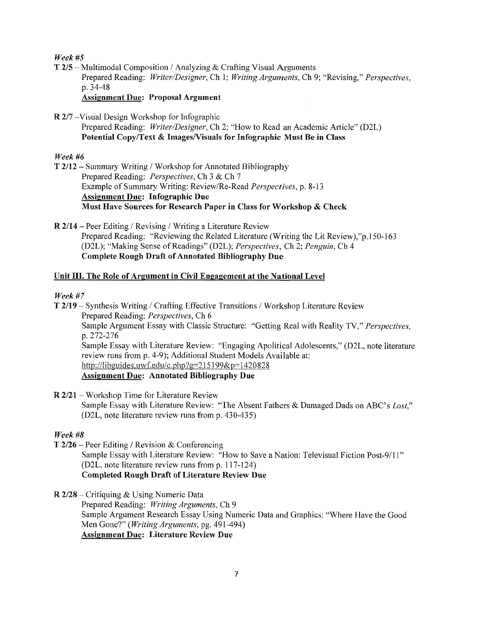*Week#5* 

 $T 2/5$  – Multimodal Composition / Analyzing & Crafting Visual Arguments Prepared Reading: *Writer/Designer,* Ch 1; *Writing Arguments,* Ch 9; "Revising," *Perspectives,*  p. 34-48

Assignment Due: Proposal Argument

R 2/7 -Visual Design Workshop for Infographic

Prepared Reading: *Writer/Designer,* Ch 2; "How to Read an Academic Article" (D2L) Potential Copy/Text & Images/Visuals for Infographic Must Be in Class

# *Week#6*

T 2/12 - Summary Writing / Workshop for Annotated Bibliography Prepared Reading: *Perspectives,* Ch 3 & Ch 7 Example of Summary Writing: Review/Re-Read *Perspectives,* p. 8-13 Assignment Due: Infographic Due Must Have Sources for Research Paper in Class for Workshop & Check

 $R$  2/14 – Peer Editing / Revising / Writing a Literature Review Prepared Reading: "Reviewing the Related Literature (Writing the Lit Review),"p.150-163 (D2L); "Making Sense of Readings" (D2L); *Perspectives,* Ch 2; *Penguin,* Ch 4 Complete Rough Draft of Annotated Bibliography Due

# Unit III. The Role of Argument in Civil Engagement at the National Level

# *Week#7*

 $T$  2/19 – Synthesis Writing / Crafting Effective Transitions / Workshop Literature Review Prepared Reading: *Perspectives,* Ch 6 Sample Argument Essay with Classic Structure: "Getting Real with Reality TV," *Perspectives,*  p. 272-276 Sample Essay with Literature Review: "Engaging Apolitical Adolescents," (D2L, note literature review runs from p. 4-9); Additional Student Models Available at: http://libguides.uwf.edu/c.php?g=215199&p=1420828 Assignment Due: Annotated Bibliography Due

R 2/21 - Workshop Time for Literature Review Sample Essay with Literature Review: "The Absent Fathers & Damaged Dads on ABC's *Lost,"*  (D2L, note literature review runs from p. 430-435)

# *Week#B*

 $T$  2/26 – Peer Editing / Revision & Conferencing

Sample Essay with Literature Review: "How to Save a Nation: Televisual Fiction Post-9/11" (D2L, note literature review runs from p. 117-124) Completed Rough Draft of Literature Review Due

R 2/28 -Critiquing & Using Numeric Data

Prepared Reading: *Writing Arguments,* Ch 9 Sample Argument Research Essay Using Numeric Data and Graphics: "Where Have the Good Men Gone?" *(Writing Arguments,* pg. 491-494) Assignment Due: Literature Review Due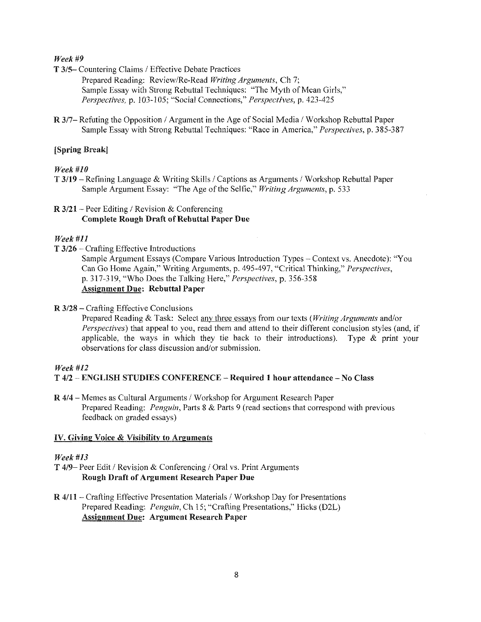#### *Week#9*

T 3/5- Countering Claims / Effective Debate Practices

Prepared Reading: Review/Re-Read *Writing Arguments,* Ch 7; Sample Essay with Strong Rebuttal Techniques: "The Myth of Mean Girls," *Perspectives, p. 103-105; "Social Connections," Perspectives, p. 423-425* 

R 3/7- Refuting the Opposition / Argument in the Age of Social Media / Workshop Rebuttal Paper Sample Essay with Strong Rebuttal Techniques: "Race in America," *Perspectives,* p. 385-387

#### [Spring Break!

#### *Week#JO*

T 3/19 - Refining Language & Writing Skills / Captions as Arguments / Workshop Rebuttal Paper Sample Argument Essay: "The Age of the Selfie," *Writing Arguments,* p. 533

# $R$  3/21 – Peer Editing / Revision & Conferencing Complete Rough Draft of Rebuttal Paper Due

#### *Week#ll*

 $T$  3/26 – Crafting Effective Introductions

Sample Argument Essays (Compare Various Introduction Types - Context vs. Anecdote): "You Can Go Home Again," Writing Arguments, p. 495-497, "Critical Thinking," *Perspectives,*  p. 317-319, "Who Does the Talking Here," *Perspectives,* p. 356-358 Assignment Due: Rebuttal Paper

#### R 3/28 - Crafting Effective Conclusions

Prepared Reading & Task: Select any three essays from our texts *(Writing Arguments* and/or *Perspectives)* that appeal to you, read them and attend to their different conclusion styles (and, if applicable, the ways in which they tie back to their introductions). Type  $\&$  print your observations for class discussion and/or submission.

#### *Week#l2*

#### T 4/2 -ENGLISH STUDIES CONFERENCE - Required 1 hour attendance- No Class

R 4/4 - Memes as Cultural Arguments / Workshop for Argument Research Paper Prepared Reading: *Penguin,* Parts 8 & Parts 9 (read sections that correspond with previous feedback on graded essays)

#### IV. Giving Voice & Visibility to Arguments

#### *Week#l3*

- T 4/9- Peer Edit / Revision & Conferencing / Oral vs. Print Arguments Rough Draft of Argument Research Paper Due
- $R$  4/11 Crafting Effective Presentation Materials / Workshop Day for Presentations Prepared Reading: *Penguin,* Ch 15', "Crafting Presentations," Hicks (D2L) Assignment Due: Argument Research Paper